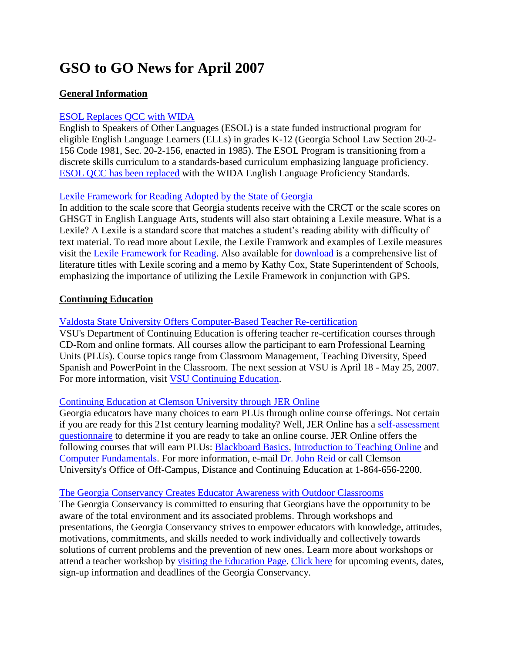# **GSO to GO News for April 2007**

# **General Information**

# [ESOL Replaces QCC with WIDA](http://public.doe.k12.ga.us/ci_iap_esol.aspx)

English to Speakers of Other Languages (ESOL) is a state funded instructional program for eligible English Language Learners (ELLs) in grades K-12 (Georgia School Law Section 20-2- 156 Code 1981, Sec. 20-2-156, enacted in 1985). The ESOL Program is transitioning from a discrete skills curriculum to a standards-based curriculum emphasizing language proficiency. [ESOL QCC has been replaced](http://public.doe.k12.ga.us/ci_iap_esol.aspx) with the WIDA English Language Proficiency Standards.

## [Lexile Framework for Reading Adopted by the State of Georgia](http://public.doe.k12.ga.us/lexile.aspx)

In addition to the scale score that Georgia students receive with the CRCT or the scale scores on GHSGT in English Language Arts, students will also start obtaining a Lexile measure. What is a Lexile? A Lexile is a standard score that matches a student's reading ability with difficulty of text material. To read more about Lexile, the Lexile Framwork and examples of Lexile measures visit the [Lexile Framework for Reading.](http://public.doe.k12.ga.us/lexile.aspx) Also available for [download](http://public.doe.k12.ga.us/DMGetDocument.aspx/GA-LexileMap-FINAL_2-27-06.pdf?p=39EF345AE192D900F620BFDE9C014CE65F48E7E4CC653240EBCFB76B1C2F47368CDB53B3758CEB56&Type=D) is a comprehensive list of literature titles with Lexile scoring and a memo by Kathy Cox, State Superintendent of Schools, emphasizing the importance of utilizing the Lexile Framework in conjunction with GPS.

## **Continuing Education**

# [Valdosta State University Offers Computer-Based Teacher Re-certification](http://www.valdosta.edu/conted/Programs/courses/teacher.htm)

VSU's Department of Continuing Education is offering teacher re-certification courses through CD-Rom and online formats. All courses allow the participant to earn Professional Learning Units (PLUs). Course topics range from Classroom Management, Teaching Diversity, Speed Spanish and PowerPoint in the Classroom. The next session at VSU is April 18 - May 25, 2007. For more information, visit [VSU Continuing Education.](http://www.valdosta.edu/conted/Programs/courses/teacher.htm)

#### [Continuing Education at Clemson University through JER Online](http://www.coursecatalog.com/dbpages/courses.asp?SchoolID=435)

Georgia educators have many choices to earn PLUs through online course offerings. Not certain if you are ready for this 21st century learning modality? Well, JER Online has a [self-assessment](http://www.coursecatalog.com/dbpages/learn/asp_assess.htm)  [questionnaire](http://www.coursecatalog.com/dbpages/learn/asp_assess.htm) to determine if you are ready to take an online course. JER Online offers the following courses that will earn PLUs: [Blackboard Basics,](http://www.coursecatalog.com/dbpages/add_course_to_shopping_cart.asp?id=1665&SchoolID=435) [Introduction to Teaching Online](http://www.coursecatalog.com/dbpages/add_course_to_shopping_cart.asp?id=1721&SchoolID=435) and [Computer Fundamentals.](http://www.coursecatalog.com/dbpages/add_course_to_shopping_cart.asp?id=1666&SchoolID=435) For more information, e-mail [Dr. John Reid](mailto:drjer@jergroup.com) or call Clemson University's Office of Off-Campus, Distance and Continuing Education at 1-864-656-2200.

#### [The Georgia Conservancy Creates Educator Awareness with Outdoor Classrooms](http://www.georgiaconservancy.org/Education/Education.asp)

The Georgia Conservancy is committed to ensuring that Georgians have the opportunity to be aware of the total environment and its associated problems. Through workshops and presentations, the Georgia Conservancy strives to empower educators with knowledge, attitudes, motivations, commitments, and skills needed to work individually and collectively towards solutions of current problems and the prevention of new ones. Learn more about workshops or attend a teacher workshop by [visiting the Education Page.](http://www.georgiaconservancy.org/Education/ED_workshops.asp) [Click here](http://www.georgiaconservancy.org/Events/List.asp) for upcoming events, dates, sign-up information and deadlines of the Georgia Conservancy.